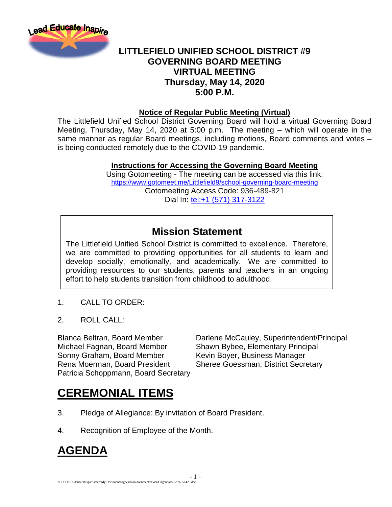

### **LITTLEFIELD UNIFIED SCHOOL DISTRICT #9 GOVERNING BOARD MEETING VIRTUAL MEETING Thursday, May 14, 2020 5:00 P.M.**

#### **Notice of Regular Public Meeting (Virtual)**

The Littlefield Unified School District Governing Board will hold a virtual Governing Board Meeting, Thursday, May 14, 2020 at 5:00 p.m. The meeting – which will operate in the same manner as regular Board meetings, including motions, Board comments and votes – is being conducted remotely due to the COVID-19 pandemic.

#### **Instructions for Accessing the Governing Board Meeting**

Using Gotomeeting - The meeting can be accessed via this link: <https://www.gotomeet.me/Littlefield9/school-governing-board-meeting> Gotomeeting Access Code: 936-489-821 Dial In: [tel:+1 \(571\) 317-3122](tel:+1%20(571)%20317-3122)

### **Mission Statement**

The Littlefield Unified School District is committed to excellence. Therefore, we are committed to providing opportunities for all students to learn and develop socially, emotionally, and academically. We are committed to providing resources to our students, parents and teachers in an ongoing effort to help students transition from childhood to adulthood.

- 1 –

- 1. CALL TO ORDER:
- 2. ROLL CALL:

Michael Fagnan, Board Member Shawn Bybee, Elementary Principal Sonny Graham, Board Member Kevin Boyer, Business Manager Rena Moerman, Board President Sheree Goessman, District Secretary Patricia Schoppmann, Board Secretary

Blanca Beltran, Board Member Darlene McCauley, Superintendent/Principal

## **CEREMONIAL ITEMS**

- 3. Pledge of Allegiance: By invitation of Board President.
- 4. Recognition of Employee of the Month.

## **AGENDA**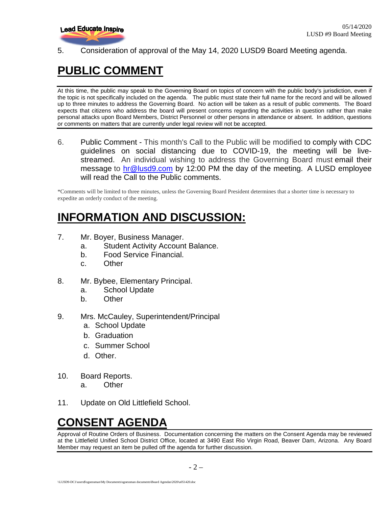

5. Consideration of approval of the May 14, 2020 LUSD9 Board Meeting agenda.

## **PUBLIC COMMENT**

At this time, the public may speak to the Governing Board on topics of concern with the public body's jurisdiction, even if the topic is not specifically included on the agenda. The public must state their full name for the record and will be allowed up to three minutes to address the Governing Board. No action will be taken as a result of public comments. The Board expects that citizens who address the board will present concerns regarding the activities in question rather than make personal attacks upon Board Members, District Personnel or other persons in attendance or absent. In addition, questions or comments on matters that are currently under legal review will not be accepted.

6. Public Comment - This month's Call to the Public will be modified to comply with CDC guidelines on social distancing due to COVID-19, the meeting will be livestreamed. An individual wishing to address the Governing Board must email their message to [hr@lusd9.com](mailto:hr@lusd9.com) by 12:00 PM the day of the meeting. A LUSD employee will read the Call to the Public comments.

\*Comments will be limited to three minutes, unless the Governing Board President determines that a shorter time is necessary to expedite an orderly conduct of the meeting.

### **INFORMATION AND DISCUSSION:**

- 7. Mr. Boyer, Business Manager.
	- a. Student Activity Account Balance.
	- b. Food Service Financial.
	- c. Other
- 8. Mr. Bybee, Elementary Principal.
	- a. School Update
	- b. Other
- 9. Mrs. McCauley, Superintendent/Principal
	- a. School Update
	- b. Graduation
	- c. Summer School
	- d. Other.
- 10. Board Reports.
	- a. Other
- 11. Update on Old Littlefield School.

# **CONSENT AGENDA**

Approval of Routine Orders of Business. Documentation concerning the matters on the Consent Agenda may be reviewed at the Littlefield Unified School District Office, located at 3490 East Rio Virgin Road, Beaver Dam, Arizona. Any Board Member may request an item be pulled off the agenda for further discussion.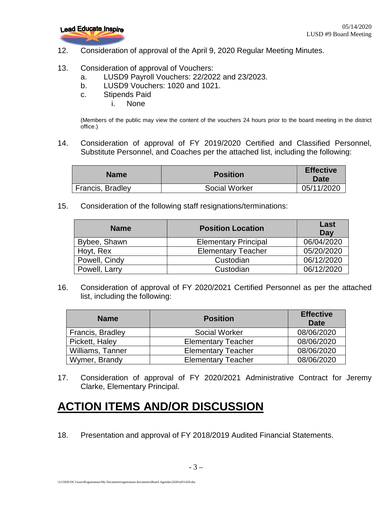

12. Consideration of approval of the April 9, 2020 Regular Meeting Minutes.

#### 13. Consideration of approval of Vouchers:

- a. LUSD9 Payroll Vouchers: 22/2022 and 23/2023.
- b. LUSD9 Vouchers: 1020 and 1021.
- c. Stipends Paid
	- i. None

(Members of the public may view the content of the vouchers 24 hours prior to the board meeting in the district office.)

14. Consideration of approval of FY 2019/2020 Certified and Classified Personnel, Substitute Personnel, and Coaches per the attached list, including the following:

| <b>Name</b>      | <b>Position</b> | <b>Effective</b><br><b>Date</b> |
|------------------|-----------------|---------------------------------|
| Francis, Bradley | Social Worker   | 05/11/2020                      |

15. Consideration of the following staff resignations/terminations:

| <b>Name</b>   | <b>Position Location</b>    | Last<br>Day |
|---------------|-----------------------------|-------------|
| Bybee, Shawn  | <b>Elementary Principal</b> | 06/04/2020  |
| Hoyt, Rex     | <b>Elementary Teacher</b>   | 05/20/2020  |
| Powell, Cindy | Custodian                   | 06/12/2020  |
| Powell, Larry | Custodian                   | 06/12/2020  |

16. Consideration of approval of FY 2020/2021 Certified Personnel as per the attached list, including the following:

| <b>Name</b>      | <b>Position</b>           | <b>Effective</b><br>Date |
|------------------|---------------------------|--------------------------|
| Francis, Bradley | Social Worker             | 08/06/2020               |
| Pickett, Haley   | <b>Elementary Teacher</b> | 08/06/2020               |
| Williams, Tanner | <b>Elementary Teacher</b> | 08/06/2020               |
| Wymer, Brandy    | <b>Elementary Teacher</b> | 08/06/2020               |

17. Consideration of approval of FY 2020/2021 Administrative Contract for Jeremy Clarke, Elementary Principal.

## **ACTION ITEMS AND/OR DISCUSSION**

18. Presentation and approval of FY 2018/2019 Audited Financial Statements.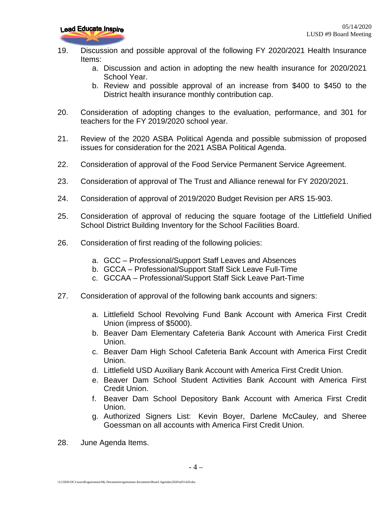- 19. Discussion and possible approval of the following FY 2020/2021 Health Insurance Items:
	- a. Discussion and action in adopting the new health insurance for 2020/2021 School Year.
	- b. Review and possible approval of an increase from \$400 to \$450 to the District health insurance monthly contribution cap.
- 20. Consideration of adopting changes to the evaluation, performance, and 301 for teachers for the FY 2019/2020 school year.
- 21. Review of the 2020 ASBA Political Agenda and possible submission of proposed issues for consideration for the 2021 ASBA Political Agenda.
- 22. Consideration of approval of the Food Service Permanent Service Agreement.
- 23. Consideration of approval of The Trust and Alliance renewal for FY 2020/2021.
- 24. Consideration of approval of 2019/2020 Budget Revision per ARS 15-903.
- 25. Consideration of approval of reducing the square footage of the Littlefield Unified School District Building Inventory for the School Facilities Board.
- 26. Consideration of first reading of the following policies:
	- a. GCC Professional/Support Staff Leaves and Absences
	- b. GCCA Professional/Support Staff Sick Leave Full-Time
	- c. GCCAA Professional/Support Staff Sick Leave Part-Time
- 27. Consideration of approval of the following bank accounts and signers:
	- a. Littlefield School Revolving Fund Bank Account with America First Credit Union (impress of \$5000).
	- b. Beaver Dam Elementary Cafeteria Bank Account with America First Credit Union.
	- c. Beaver Dam High School Cafeteria Bank Account with America First Credit Union.
	- d. Littlefield USD Auxiliary Bank Account with America First Credit Union.
	- e. Beaver Dam School Student Activities Bank Account with America First Credit Union.
	- f. Beaver Dam School Depository Bank Account with America First Credit Union.
	- g. Authorized Signers List: Kevin Boyer, Darlene McCauley, and Sheree Goessman on all accounts with America First Credit Union.
- 28. June Agenda Items.